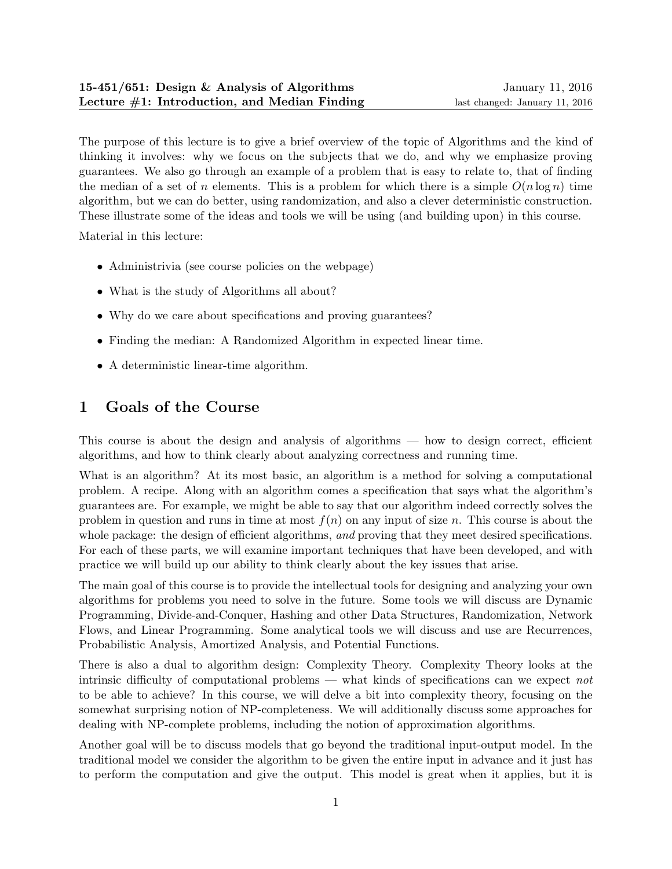The purpose of this lecture is to give a brief overview of the topic of Algorithms and the kind of thinking it involves: why we focus on the subjects that we do, and why we emphasize proving guarantees. We also go through an example of a problem that is easy to relate to, that of finding the median of a set of n elements. This is a problem for which there is a simple  $O(n \log n)$  time algorithm, but we can do better, using randomization, and also a clever deterministic construction. These illustrate some of the ideas and tools we will be using (and building upon) in this course.

Material in this lecture:

- Administrivia (see course policies on the webpage)
- What is the study of Algorithms all about?
- Why do we care about specifications and proving guarantees?
- Finding the median: A Randomized Algorithm in expected linear time.
- A deterministic linear-time algorithm.

# 1 Goals of the Course

This course is about the design and analysis of algorithms — how to design correct, efficient algorithms, and how to think clearly about analyzing correctness and running time.

What is an algorithm? At its most basic, an algorithm is a method for solving a computational problem. A recipe. Along with an algorithm comes a specification that says what the algorithm's guarantees are. For example, we might be able to say that our algorithm indeed correctly solves the problem in question and runs in time at most  $f(n)$  on any input of size n. This course is about the whole package: the design of efficient algorithms, and proving that they meet desired specifications. For each of these parts, we will examine important techniques that have been developed, and with practice we will build up our ability to think clearly about the key issues that arise.

The main goal of this course is to provide the intellectual tools for designing and analyzing your own algorithms for problems you need to solve in the future. Some tools we will discuss are Dynamic Programming, Divide-and-Conquer, Hashing and other Data Structures, Randomization, Network Flows, and Linear Programming. Some analytical tools we will discuss and use are Recurrences, Probabilistic Analysis, Amortized Analysis, and Potential Functions.

There is also a dual to algorithm design: Complexity Theory. Complexity Theory looks at the intrinsic difficulty of computational problems — what kinds of specifications can we expect not to be able to achieve? In this course, we will delve a bit into complexity theory, focusing on the somewhat surprising notion of NP-completeness. We will additionally discuss some approaches for dealing with NP-complete problems, including the notion of approximation algorithms.

Another goal will be to discuss models that go beyond the traditional input-output model. In the traditional model we consider the algorithm to be given the entire input in advance and it just has to perform the computation and give the output. This model is great when it applies, but it is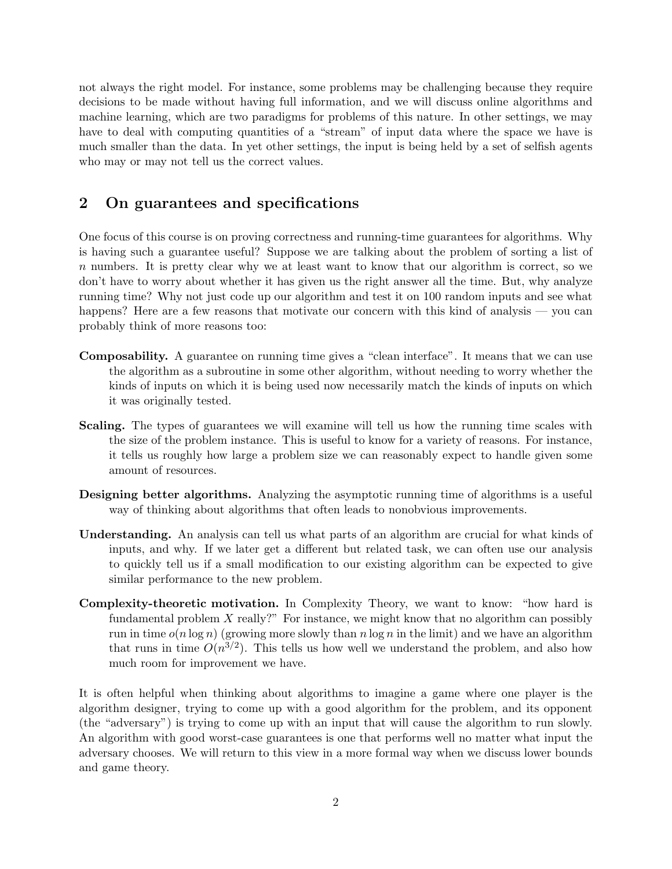not always the right model. For instance, some problems may be challenging because they require decisions to be made without having full information, and we will discuss online algorithms and machine learning, which are two paradigms for problems of this nature. In other settings, we may have to deal with computing quantities of a "stream" of input data where the space we have is much smaller than the data. In yet other settings, the input is being held by a set of selfish agents who may or may not tell us the correct values.

## 2 On guarantees and specifications

One focus of this course is on proving correctness and running-time guarantees for algorithms. Why is having such a guarantee useful? Suppose we are talking about the problem of sorting a list of n numbers. It is pretty clear why we at least want to know that our algorithm is correct, so we don't have to worry about whether it has given us the right answer all the time. But, why analyze running time? Why not just code up our algorithm and test it on 100 random inputs and see what happens? Here are a few reasons that motivate our concern with this kind of analysis — you can probably think of more reasons too:

- Composability. A guarantee on running time gives a "clean interface". It means that we can use the algorithm as a subroutine in some other algorithm, without needing to worry whether the kinds of inputs on which it is being used now necessarily match the kinds of inputs on which it was originally tested.
- Scaling. The types of guarantees we will examine will tell us how the running time scales with the size of the problem instance. This is useful to know for a variety of reasons. For instance, it tells us roughly how large a problem size we can reasonably expect to handle given some amount of resources.
- Designing better algorithms. Analyzing the asymptotic running time of algorithms is a useful way of thinking about algorithms that often leads to nonobvious improvements.
- Understanding. An analysis can tell us what parts of an algorithm are crucial for what kinds of inputs, and why. If we later get a different but related task, we can often use our analysis to quickly tell us if a small modification to our existing algorithm can be expected to give similar performance to the new problem.
- Complexity-theoretic motivation. In Complexity Theory, we want to know: "how hard is fundamental problem X really?" For instance, we might know that no algorithm can possibly run in time  $o(n \log n)$  (growing more slowly than  $n \log n$  in the limit) and we have an algorithm that runs in time  $O(n^{3/2})$ . This tells us how well we understand the problem, and also how much room for improvement we have.

It is often helpful when thinking about algorithms to imagine a game where one player is the algorithm designer, trying to come up with a good algorithm for the problem, and its opponent (the "adversary") is trying to come up with an input that will cause the algorithm to run slowly. An algorithm with good worst-case guarantees is one that performs well no matter what input the adversary chooses. We will return to this view in a more formal way when we discuss lower bounds and game theory.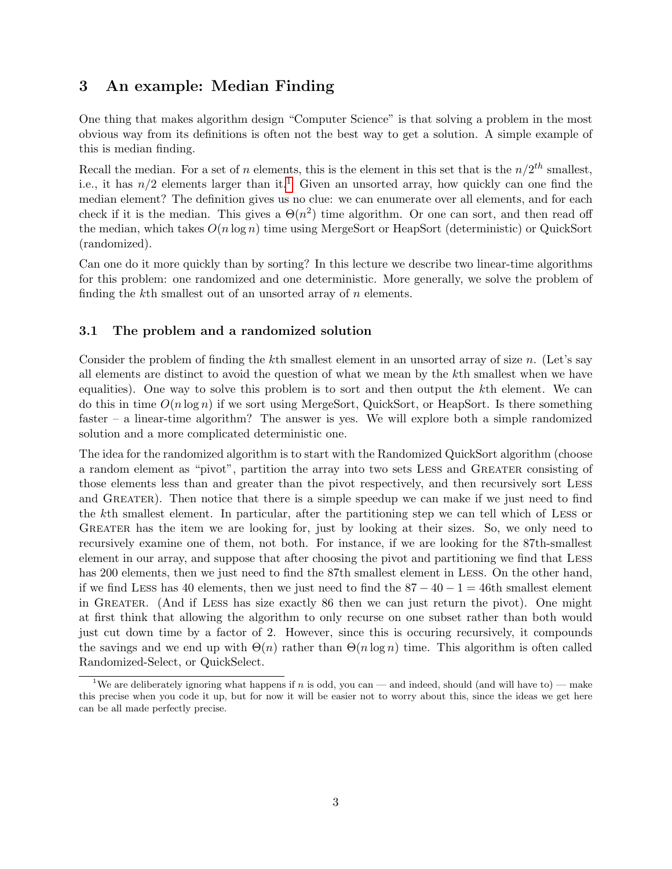## 3 An example: Median Finding

One thing that makes algorithm design "Computer Science" is that solving a problem in the most obvious way from its definitions is often not the best way to get a solution. A simple example of this is median finding.

Recall the median. For a set of n elements, this is the element in this set that is the  $n/2^{th}$  smallest, i.e., it has  $n/2$  elements larger than it.<sup>[1](#page-2-0)</sup> Given an unsorted array, how quickly can one find the median element? The definition gives us no clue: we can enumerate over all elements, and for each check if it is the median. This gives a  $\Theta(n^2)$  time algorithm. Or one can sort, and then read off the median, which takes  $O(n \log n)$  time using MergeSort or HeapSort (deterministic) or QuickSort (randomized).

Can one do it more quickly than by sorting? In this lecture we describe two linear-time algorithms for this problem: one randomized and one deterministic. More generally, we solve the problem of finding the k<sup>th</sup> smallest out of an unsorted array of *n* elements.

#### 3.1 The problem and a randomized solution

Consider the problem of finding the kth smallest element in an unsorted array of size  $n$ . (Let's say all elements are distinct to avoid the question of what we mean by the kth smallest when we have equalities). One way to solve this problem is to sort and then output the kth element. We can do this in time  $O(n \log n)$  if we sort using MergeSort, QuickSort, or HeapSort. Is there something faster – a linear-time algorithm? The answer is yes. We will explore both a simple randomized solution and a more complicated deterministic one.

The idea for the randomized algorithm is to start with the Randomized QuickSort algorithm (choose a random element as "pivot", partition the array into two sets Less and Greater consisting of those elements less than and greater than the pivot respectively, and then recursively sort Less and GREATER). Then notice that there is a simple speedup we can make if we just need to find the kth smallest element. In particular, after the partitioning step we can tell which of Less or GREATER has the item we are looking for, just by looking at their sizes. So, we only need to recursively examine one of them, not both. For instance, if we are looking for the 87th-smallest element in our array, and suppose that after choosing the pivot and partitioning we find that Less has 200 elements, then we just need to find the 87th smallest element in LESS. On the other hand, if we find LESS has 40 elements, then we just need to find the  $87 - 40 - 1 = 46$ th smallest element in Greater. (And if Less has size exactly 86 then we can just return the pivot). One might at first think that allowing the algorithm to only recurse on one subset rather than both would just cut down time by a factor of 2. However, since this is occuring recursively, it compounds the savings and we end up with  $\Theta(n)$  rather than  $\Theta(n \log n)$  time. This algorithm is often called Randomized-Select, or QuickSelect.

<span id="page-2-0"></span><sup>&</sup>lt;sup>1</sup>We are deliberately ignoring what happens if n is odd, you can — and indeed, should (and will have to) — make this precise when you code it up, but for now it will be easier not to worry about this, since the ideas we get here can be all made perfectly precise.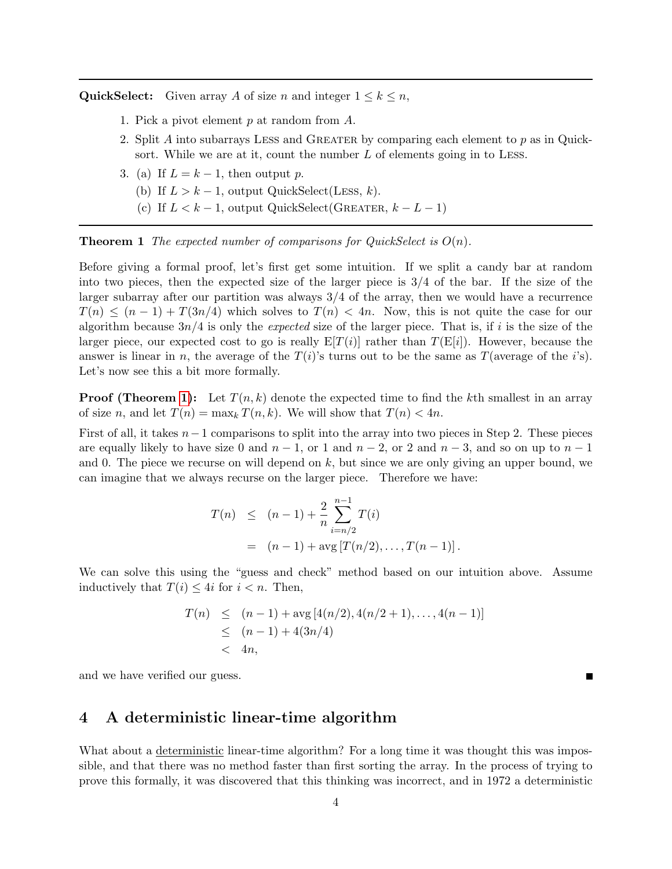QuickSelect: Given array A of size n and integer  $1 \leq k \leq n$ ,

- 1. Pick a pivot element p at random from A.
- 2. Split A into subarrays LESS and GREATER by comparing each element to p as in Quicksort. While we are at it, count the number L of elements going in to LESS.
- 3. (a) If  $L = k 1$ , then output p.
	- (b) If  $L > k 1$ , output QuickSelect(Less, k).
	- (c) If  $L < k 1$ , output QuickSelect(GREATER,  $k L 1$ )

<span id="page-3-0"></span>**Theorem 1** The expected number of comparisons for QuickSelect is  $O(n)$ .

Before giving a formal proof, let's first get some intuition. If we split a candy bar at random into two pieces, then the expected size of the larger piece is 3/4 of the bar. If the size of the larger subarray after our partition was always  $3/4$  of the array, then we would have a recurrence  $T(n) \leq (n-1) + T(3n/4)$  which solves to  $T(n) < 4n$ . Now, this is not quite the case for our algorithm because  $3n/4$  is only the expected size of the larger piece. That is, if i is the size of the larger piece, our expected cost to go is really  $E[T(i)]$  rather than  $T(E[i])$ . However, because the answer is linear in n, the average of the  $T(i)$ 's turns out to be the same as  $T(\text{average of the } i\text{'s}).$ Let's now see this a bit more formally.

**Proof (Theorem [1\)](#page-3-0):** Let  $T(n, k)$  denote the expected time to find the kth smallest in an array of size n, and let  $T(n) = \max_k T(n, k)$ . We will show that  $T(n) < 4n$ .

First of all, it takes  $n-1$  comparisons to split into the array into two pieces in Step 2. These pieces are equally likely to have size 0 and  $n-1$ , or 1 and  $n-2$ , or 2 and  $n-3$ , and so on up to  $n-1$ and 0. The piece we recurse on will depend on  $k$ , but since we are only giving an upper bound, we can imagine that we always recurse on the larger piece. Therefore we have:

$$
T(n) \le (n-1) + \frac{2}{n} \sum_{i=n/2}^{n-1} T(i)
$$
  
=  $(n-1) + \arg [T(n/2), \dots, T(n-1)].$ 

We can solve this using the "guess and check" method based on our intuition above. Assume inductively that  $T(i) \leq 4i$  for  $i \leq n$ . Then,

$$
T(n) \leq (n-1) + \arg [4(n/2), 4(n/2+1), \dots, 4(n-1)]
$$
  
\n
$$
\leq (n-1) + 4(3n/4)
$$
  
\n
$$
< 4n,
$$

and we have verified our guess.

### 4 A deterministic linear-time algorithm

What about a deterministic linear-time algorithm? For a long time it was thought this was impossible, and that there was no method faster than first sorting the array. In the process of trying to prove this formally, it was discovered that this thinking was incorrect, and in 1972 a deterministic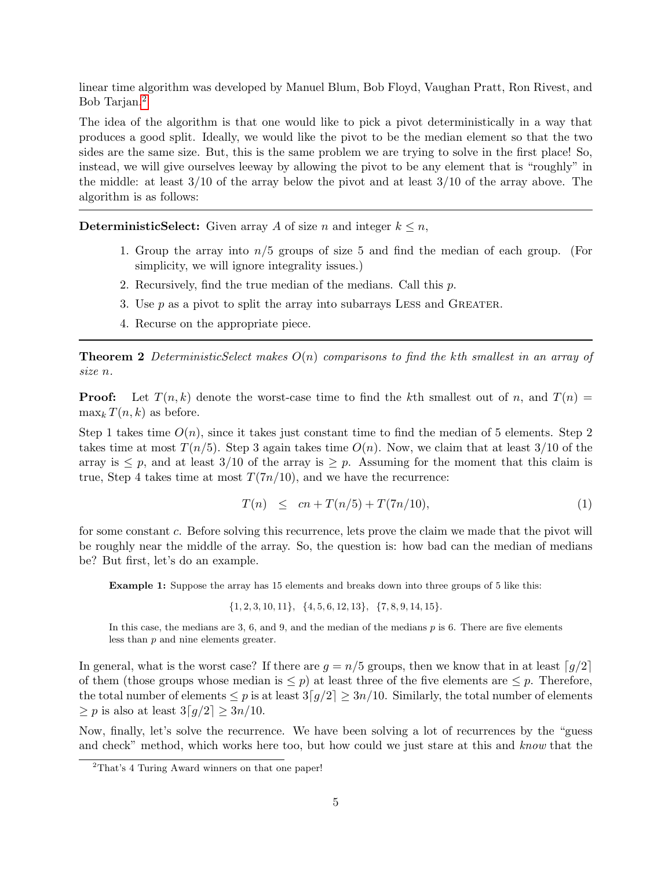linear time algorithm was developed by Manuel Blum, Bob Floyd, Vaughan Pratt, Ron Rivest, and Bob Tarjan.[2](#page-4-0)

The idea of the algorithm is that one would like to pick a pivot deterministically in a way that produces a good split. Ideally, we would like the pivot to be the median element so that the two sides are the same size. But, this is the same problem we are trying to solve in the first place! So, instead, we will give ourselves leeway by allowing the pivot to be any element that is "roughly" in the middle: at least 3/10 of the array below the pivot and at least 3/10 of the array above. The algorithm is as follows:

**DeterministicSelect:** Given array A of size n and integer  $k \leq n$ ,

- 1. Group the array into  $n/5$  groups of size 5 and find the median of each group. (For simplicity, we will ignore integrality issues.)
- 2. Recursively, find the true median of the medians. Call this p.
- 3. Use  $p$  as a pivot to split the array into subarrays LESS and GREATER.
- 4. Recurse on the appropriate piece.

**Theorem 2** DeterministicSelect makes  $O(n)$  comparisons to find the kth smallest in an array of size n.

**Proof:** Let  $T(n, k)$  denote the worst-case time to find the kth smallest out of n, and  $T(n)$  =  $\max_k T(n, k)$  as before.

Step 1 takes time  $O(n)$ , since it takes just constant time to find the median of 5 elements. Step 2 takes time at most  $T(n/5)$ . Step 3 again takes time  $O(n)$ . Now, we claim that at least 3/10 of the array is  $\leq p$ , and at least 3/10 of the array is  $\geq p$ . Assuming for the moment that this claim is true, Step 4 takes time at most  $T(7n/10)$ , and we have the recurrence:

<span id="page-4-1"></span>
$$
T(n) \le cn + T(n/5) + T(7n/10), \tag{1}
$$

for some constant c. Before solving this recurrence, lets prove the claim we made that the pivot will be roughly near the middle of the array. So, the question is: how bad can the median of medians be? But first, let's do an example.

Example 1: Suppose the array has 15 elements and breaks down into three groups of 5 like this:

 $\{1, 2, 3, 10, 11\}, \{4, 5, 6, 12, 13\}, \{7, 8, 9, 14, 15\}.$ 

In this case, the medians are  $3, 6$ , and  $9$ , and the median of the medians  $p$  is 6. There are five elements less than p and nine elements greater.

In general, what is the worst case? If there are  $g = n/5$  groups, then we know that in at least  $\lceil g/2 \rceil$ of them (those groups whose median is  $\leq p$ ) at least three of the five elements are  $\leq p$ . Therefore, the total number of elements  $\leq p$  is at least  $3[q/2] \geq 3n/10$ . Similarly, the total number of elements  $\geq p$  is also at least  $3[q/2] \geq 3n/10$ .

Now, finally, let's solve the recurrence. We have been solving a lot of recurrences by the "guess and check" method, which works here too, but how could we just stare at this and know that the

<span id="page-4-0"></span><sup>&</sup>lt;sup>2</sup>That's 4 Turing Award winners on that one paper!